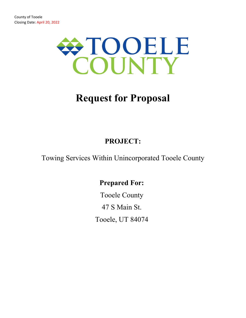

# **Request for Proposal**

# **PROJECT:**

Towing Services Within Unincorporated Tooele County

# **Prepared For:**

Tooele County 47 S Main St. Tooele, UT 84074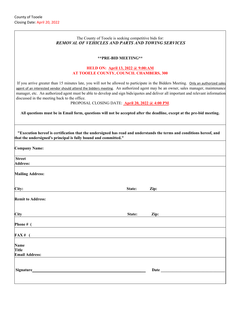#### The County of Tooele is seeking competitive bids for: *REMOVAL OF VEHICLES AND PARTS AND TOWING SERVICES*

#### **\*\*PRE-BID MEETING\*\***

#### **HELD ON: April 13, 2022 @ 9:00:AM AT TOOELE COUNTY, COUNCIL CHAMBERS, 300**

If you arrive greater than 15 minutes late, you will not be allowed to participate in the Bidders Meeting. Only an authorized sales agent of an interested vendor should attend the bidders meeting. An authorized agent may be an owner, sales manager, maintenance manager, etc. An authorized agent must be able to develop and sign bids/quotes and deliver all important and relevant information discussed in the meeting back to the office.

PROPOSAL CLOSING DATE: **April 20, 2022 @ 4:00 PM**.

**All questions must be in Email form, questions will not be accepted after the deadline, except at the pre-bid meeting.** 

| "Execution hereof is certification that the undersigned has read and understands the terms and conditions hereof, and<br>that the undersigned's principal is fully bound and committed." |        |      |  |
|------------------------------------------------------------------------------------------------------------------------------------------------------------------------------------------|--------|------|--|
| <b>Company Name:</b>                                                                                                                                                                     |        |      |  |
| <b>Street</b>                                                                                                                                                                            |        |      |  |
| <b>Address:</b>                                                                                                                                                                          |        |      |  |
| <b>Mailing Address:</b>                                                                                                                                                                  |        |      |  |
| City:                                                                                                                                                                                    | State: | Zip: |  |
| <b>Remit to Address:</b>                                                                                                                                                                 |        |      |  |
| City                                                                                                                                                                                     | State: | Zip: |  |
| Phone # $($                                                                                                                                                                              |        |      |  |
| $FAX#$ (                                                                                                                                                                                 |        |      |  |
| <b>Name</b>                                                                                                                                                                              |        |      |  |
| <b>Title</b>                                                                                                                                                                             |        |      |  |
| <b>Email Address:</b>                                                                                                                                                                    |        |      |  |
| Signature                                                                                                                                                                                |        | Date |  |
|                                                                                                                                                                                          |        |      |  |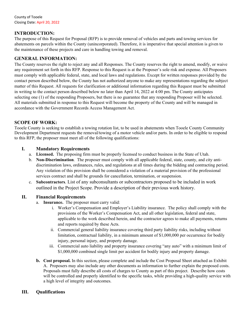#### **INTRODUCTION:**

The purpose of this Request for Proposal (RFP) is to provide removal of vehicles and parts and towing services for abatements on parcels within the County (unincorporated). Therefore, it is imperative that special attention is given to the maintenance of these projects and care in handling towing and removal.

#### **GENERAL INFORMATION:**

The County reserves the right to reject any and all Responses. The County reserves the right to amend, modify, or waive any requirement set forth in this RFP. Response to this Request is at the Proposer's sole risk and expense. All Proposers must comply with applicable federal, state, and local laws and regulations. Except for written responses provided by the contact person described below, the County has not authorized anyone to make any representations regarding the subject matter of this Request. All requests for clarification or additional information regarding this Request must be submitted in writing to the contact person described below no later than April 14, 2022 at 4:00 pm. The County anticipates selecting one (1) of the responding Proposers, but there is no guarantee that any responding Proposer will be selected. All materials submitted in response to this Request will become the property of the County and will be managed in accordance with the Government Records Access Management Act.

#### **SCOPE OF WORK:**

Tooele County is seeking to establish a towing rotation list, to be used in abatements when Tooele County Community Development Department requests the removal/towing of a motor vehicle and/or parts. In order to be eligible to respond to this RFP, the proposer must meet all of the following qualifications:

#### **I. Mandatory Requirements**

- a. **Licensed.** The proposing firm must be properly licensed to conduct business in the State of Utah.
- b. **Non-Discrimination**. The proposer must comply with all applicable federal, state, county, and city antidiscrimination laws, ordinances, rules, and regulations at all times during the bidding and contracting period. Any violation of this provision shall be considered a violation of a material provision of the professional services contract and shall be grounds for cancellation, termination, or suspension.
- c. **Subcontractors**. List of any subconsultants or subcontractors proposed to be included in work outlined in the Project Scope. Provide a description of their previous work history.

#### **II. Financial Requirements**

- a. **Insurance.** The proposer must carry valid:
	- i. Worker's Compensation and Employer's Liability insurance. The policy shall comply with the provisions of the Worker's Compensation Act, and all other legislation, federal and state, applicable to the work described herein, and the contractor agrees to make all payments, returns and reports required by these Acts.
	- ii. Commercial general liability insurance covering third party liability risks, including without limitation, contractual liability, in a minimum amount of \$1,000,000 per occurrence for bodily injury, personal injury, and property damage.
	- iii. Commercial auto liability and property insurance covering "any auto" with a minimum limit of \$1,000,000 combined single limit per accident for bodily injury and property damage.
- **b. Cost proposal.** In this section, please complete and include the Cost Proposal Sheet attached as Exhibit A. Proposers may also include any other documents as information to further explain the proposed costs. Proposals must fully describe all costs of charges to County as part of this project. Describe how costs will be controlled and properly identified to the specific tasks, while providing a high-quality service with a high level of integrity and outcomes.

#### **III. Qualifications**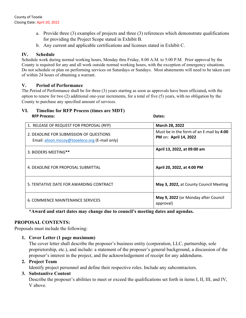- a. Provide three (3) examples of projects and three (3) references which demonstrate qualifications for providing the Project Scope stated in Exhibit B.
- b. Any current and applicable certifications and licenses stated in Exhibit C.

#### **IV. Schedule**

Schedule work during normal working hours, Monday thru Friday, 8:00 A.M. to 5:00 P.M. Prior approval by the County is required for any and all work outside normal working hours, with the exception of emergency situations. Do not schedule or plan on performing services on Saturdays or Sundays. Most abatements will need to be taken care of within 24 hours of obtaining a warrant.

#### **V. Period of Performance**

The Period of Performance shall be for three (3) years starting as soon as approvals have been officiated**,** with the option to renew for two (2) additional one-year increments, for a total of five (5) years, with no obligation by the County to purchase any specified amount of services.

#### **VI. Timeline for RFP Process (times are MDT) RFP Process: Dates:**

| 1. RELEASE OF REQUEST FOR PROPOSAL (RFP)                                                  | March 28, 2022                                                    |
|-------------------------------------------------------------------------------------------|-------------------------------------------------------------------|
| 2. DEADLINE FOR SUBMISSION OF QUESTIONS<br>Email: alison.mccoy@tooeleco.org (E-mail only) | Must be in the form of an E-mail by 4:00<br>PM on: April 14, 2022 |
| 3. BIDDERS MEETING**                                                                      | April 13, 2022, at 09:00 am                                       |
| 4. DEADLINE FOR PROPOSAL SUBMITTAL                                                        | April 20, 2022, at 4:00 PM                                        |
| 5. TENTATIVE DATE FOR AWARDING CONTRACT                                                   | May 3, 2022, at County Council Meeting                            |
| 6. COMMENCE MAINTENANCE SERVICES                                                          | May 9, 2022 (or Monday after Council<br>approval)                 |

 **\*Award and start dates may change due to council's meeting dates and agendas.** 

#### **PROPOSAL CONTENTS:**

Proposals must include the following:

**1. Cover Letter (1 page maximum)** 

The cover letter shall describe the proposer's business entity (corporation, LLC, partnership, sole proprietorship, etc.), and include: a statement of the proposer's general background, a discussion of the proposer's interest in the project, and the acknowledgement of receipt for any addendums.

#### **2. Project Team**

Identify project personnel and define their respective roles. Include any subcontractors.

#### **3. Substantive Content**

Describe the proposer's abilities to meet or exceed the qualifications set forth in items I, II, III, and IV, V above.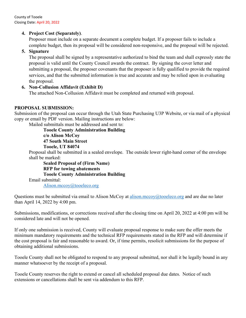County of Tooele Closing Date: April 20, 2022

#### **4. Project Cost (Separately)**.

Proposer must include on a separate document a complete budget. If a proposer fails to include a complete budget, then its proposal will be considered non-responsive, and the proposal will be rejected.

#### **5. Signature**

The proposal shall be signed by a representative authorized to bind the team and shall expressly state the proposal is valid until the County Council awards the contract. By signing the cover letter and submitting a proposal, the proposer covenants that the proposer is fully qualified to provide the required services, and that the submitted information is true and accurate and may be relied upon in evaluating the proposal.

#### **6. Non-Collusion Affidavit (Exhibit D)**

The attached Non-Collusion Affidavit must be completed and returned with proposal.

#### **PROPOSAL SUBMISSION:**

Submission of the proposal can occur through the Utah State Purchasing U3P Website, or via mail of a physical copy or email by PDF version. Mailing instructions are below:

Mailed submittals must be addressed and sent to: **Tooele County Administration Building c/o Alison McCoy 47 South Main Street Tooele, UT 84074** 

Proposal shall be submitted in a sealed envelope. The outside lower right-hand corner of the envelope shall be marked:

**Sealed Proposal of (Firm Name) RFP for towing abatements** **Tooele County Administration Building**  Email submittal: Alison.mccoy@tooeleco.org

Questions must be submitted via email to Alison McCoy at alison.mccoy $@$ tooeleco.org and are due no later than April 14, 2022 by 4:00 pm.

Submissions, modifications, or corrections received after the closing time on April 20, 2022 at 4:00 pm will be considered late and will not be opened.

If only one submission is received, County will evaluate proposal response to make sure the offer meets the minimum mandatory requirements and the technical RFP requirements stated in the RFP and will determine if the cost proposal is fair and reasonable to award. Or, if time permits, resolicit submissions for the purpose of obtaining additional submissions.

Tooele County shall not be obligated to respond to any proposal submitted, nor shall it be legally bound in any manner whatsoever by the receipt of a proposal.

Tooele County reserves the right to extend or cancel all scheduled proposal due dates. Notice of such extensions or cancellations shall be sent via addendum to this RFP.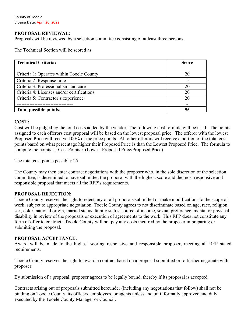County of Tooele Closing Date: April 20, 2022

#### **PROPOSAL REVIEWAL:**

Proposals will be reviewed by a selection committee consisting of at least three persons.

The Technical Section will be scored as:

| <b>Technical Criteria:</b>                 | <b>Score</b> |
|--------------------------------------------|--------------|
|                                            |              |
| Criteria 1: Operates within Tooele County  | 20           |
| Criteria 2: Response time                  | 15           |
| Criteria 3: Professionalism and care       | 20           |
| Criteria 4: Licenses and/or certifications | 20           |
| Criteria 5: Contractor's experience        | 20           |
|                                            |              |
| Total possible points:                     | 95           |

#### **COST:**

Cost will be judged by the total costs added by the vendor. The following cost formula will be used: The points assigned to each offerors cost proposal will be based on the lowest proposal price. The offeror with the lowest Proposed Price will receive 100% of the price points. All other offerors will receive a portion of the total cost points based on what percentage higher their Proposed Price is than the Lowest Proposed Price. The formula to compute the points is: Cost Points x (Lowest Proposed Price/Proposed Price).

The total cost points possible: 25

The County may then enter contract negotiations with the proposer who, in the sole discretion of the selection committee, is determined to have submitted the proposal with the highest score and the most responsive and responsible proposal that meets all the RFP's requirements.

#### **PROPOSAL REJECTION:**

Tooele County reserves the right to reject any or all proposals submitted or make modifications to the scope of work, subject to appropriate negotiation. Tooele County agrees to not discriminate based on age, race, religion, sex, color, national origin, marital status, family status, source of income, sexual preference, mental or physical disability in review of the proposals or execution of agreements to the work. This RFP does not constitute any form of offer to contract. Tooele County will not pay any costs incurred by the proposer in preparing or submitting the proposal.

#### **PROPOSAL ACCEPTANCE:**

Award will be made to the highest scoring responsive and responsible proposer, meeting all RFP stated requirements.

Tooele County reserves the right to award a contract based on a proposal submitted or to further negotiate with proposer.

By submission of a proposal, proposer agrees to be legally bound, thereby if its proposal is accepted.

Contracts arising out of proposals submitted hereunder (including any negotiations that follow) shall not be binding on Tooele County, its officers, employees, or agents unless and until formally approved and duly executed by the Tooele County Manager or Council.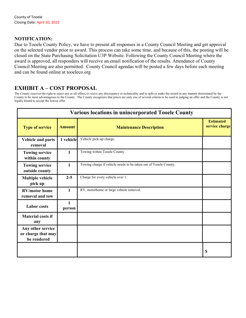#### **NOTIFICATION:**

Due to Tooele County Policy, we have to present all responses in a County Council Meeting and get approval on the selected vendor prior to award. This process can take some time, and because of this, the posting will be closed on the State Purchasing Solicitation U3P Website. Following the County Council Meeting where the award is approved, all responders will receive an email notification of the results. Attendance of County Council Meeting are also permitted. County Council agendas will be posted a few days before each meeting and can be found online at tooeleco.org

### **EXHIBIT A – COST PROPOSAL**

The County reserves the right to reject any or all offers, to waive any discrepancy or technicality and to split or make the award in any manner determined by the County to be most advantageous to the County. The County recognizes that prices are only one of several criteria to be used in judging an offer and the County is not legally bound to accept the lowest offer.

| <b>Various locations in unincorporated Tooele County</b> |               |                                                                  |                                    |
|----------------------------------------------------------|---------------|------------------------------------------------------------------|------------------------------------|
| <b>Type of service</b>                                   | <b>Amount</b> | <b>Maintenance Description</b>                                   | <b>Estimated</b><br>service charge |
| <b>Vehicle and parts</b><br>removal                      | 1 vehicle     | Vehicle pick-up charge.                                          |                                    |
| <b>Towing service</b><br>within county                   | $\mathbf{1}$  | Towing within Tooele County                                      |                                    |
| <b>Towing service</b><br>outside county                  | $\mathbf{1}$  | Towing charge if vehicle needs to be taken out of Tooele County. |                                    |
| <b>Multiple vehicle</b><br>pick up                       | $2 - 5$       | Charge for every vehicle over 1.                                 |                                    |
| <b>RV/motor home</b><br>removal and tow                  | $\mathbf{1}$  | RV, motorhome or large vehicle removal.                          |                                    |
| <b>Labor</b> costs                                       | 1<br>person   |                                                                  |                                    |
| <b>Material costs if</b><br>any                          |               |                                                                  |                                    |
| Any other service<br>or charge that may<br>be rendered   |               |                                                                  |                                    |
|                                                          |               |                                                                  | \$                                 |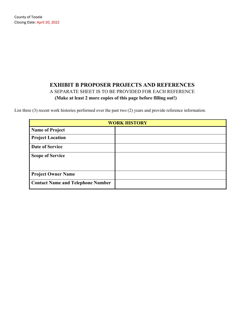# **EXHIBIT B PROPOSER PROJECTS AND REFERENCES**  A SEPARATE SHEET IS TO BE PROVIDED FOR EACH REFERENCE **(Make at least 2 more copies of this page before filling out!)**

List three (3) recent work histories performed over the past two (2) years and provide reference information.

| <b>WORK HISTORY</b>                      |  |  |
|------------------------------------------|--|--|
| <b>Name of Project</b>                   |  |  |
| <b>Project Location</b>                  |  |  |
| Date of Service                          |  |  |
| <b>Scope of Service</b>                  |  |  |
| <b>Project Owner Name</b>                |  |  |
| <b>Contact Name and Telephone Number</b> |  |  |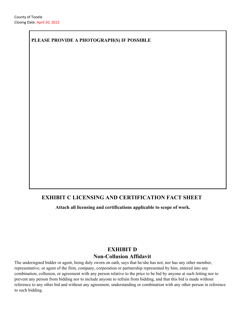### **PLEASE PROVIDE A PHOTOGRAPH(S) IF POSSIBLE**

# **EXHIBIT C LICENSING AND CERTIFICATION FACT SHEET**

**Attach all licensing and certifications applicable to scope of work.** 

# **EXHIBIT D Non-Collusion Affidavit**

The undersigned bidder or agent, being duly sworn on oath, says that he/she has not, nor has any other member, representative, or agent of the firm, company, corporation or partnership represented by him, entered into any combination, collusion, or agreement with any person relative to the price to be bid by anyone at such letting nor to prevent any person from bidding nor to include anyone to refrain from bidding, and that this bid is made without reference to any other bid and without any agreement, understanding or combination with any other person in reference to such bidding.